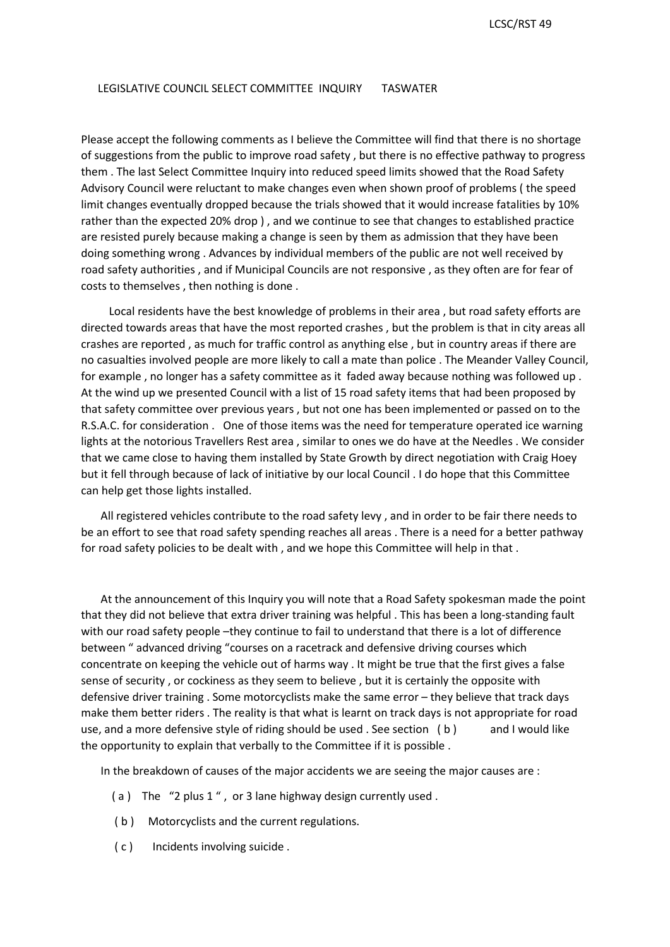## LEGISLATIVE COUNCIL SELECT COMMITTEE INQUIRY TASWATER

 Advisory Council were reluctant to make changes even when shown proof of problems ( the speed rather than the expected 20% drop ) , and we continue to see that changes to established practice Please accept the following comments as I believe the Committee will find that there is no shortage of suggestions from the public to improve road safety , but there is no effective pathway to progress them . The last Select Committee Inquiry into reduced speed limits showed that the Road Safety limit changes eventually dropped because the trials showed that it would increase fatalities by 10% are resisted purely because making a change is seen by them as admission that they have been doing something wrong . Advances by individual members of the public are not well received by road safety authorities , and if Municipal Councils are not responsive , as they often are for fear of costs to themselves , then nothing is done .

 crashes are reported , as much for traffic control as anything else , but in country areas if there are At the wind up we presented Council with a list of 15 road safety items that had been proposed by that safety committee over previous years , but not one has been implemented or passed on to the R.S.A.C. for consideration . One of those items was the need for temperature operated ice warning lights at the notorious Travellers Rest area , similar to ones we do have at the Needles . We consider Local residents have the best knowledge of problems in their area , but road safety efforts are directed towards areas that have the most reported crashes , but the problem is that in city areas all no casualties involved people are more likely to call a mate than police . The Meander Valley Council, for example , no longer has a safety committee as it faded away because nothing was followed up . that we came close to having them installed by State Growth by direct negotiation with Craig Hoey but it fell through because of lack of initiative by our local Council . I do hope that this Committee can help get those lights installed.

 be an effort to see that road safety spending reaches all areas . There is a need for a better pathway for road safety policies to be dealt with , and we hope this Committee will help in that . All registered vehicles contribute to the road safety levy , and in order to be fair there needs to

with our road safety people -they continue to fail to understand that there is a lot of difference concentrate on keeping the vehicle out of harms way . It might be true that the first gives a false make them better riders . The reality is that what is learnt on track days is not appropriate for road use, and a more defensive style of riding should be used . See section (b) and I would like the opportunity to explain that verbally to the Committee if it is possible . At the announcement of this Inquiry you will note that a Road Safety spokesman made the point that they did not believe that extra driver training was helpful . This has been a long-standing fault between " advanced driving "courses on a racetrack and defensive driving courses which sense of security , or cockiness as they seem to believe , but it is certainly the opposite with defensive driver training . Some motorcyclists make the same error – they believe that track days

In the breakdown of causes of the major accidents we are seeing the major causes are :

- (a) The "2 plus 1", or 3 lane highway design currently used.
- ( b ) Motorcyclists and the current regulations.
- ( c ) Incidents involving suicide .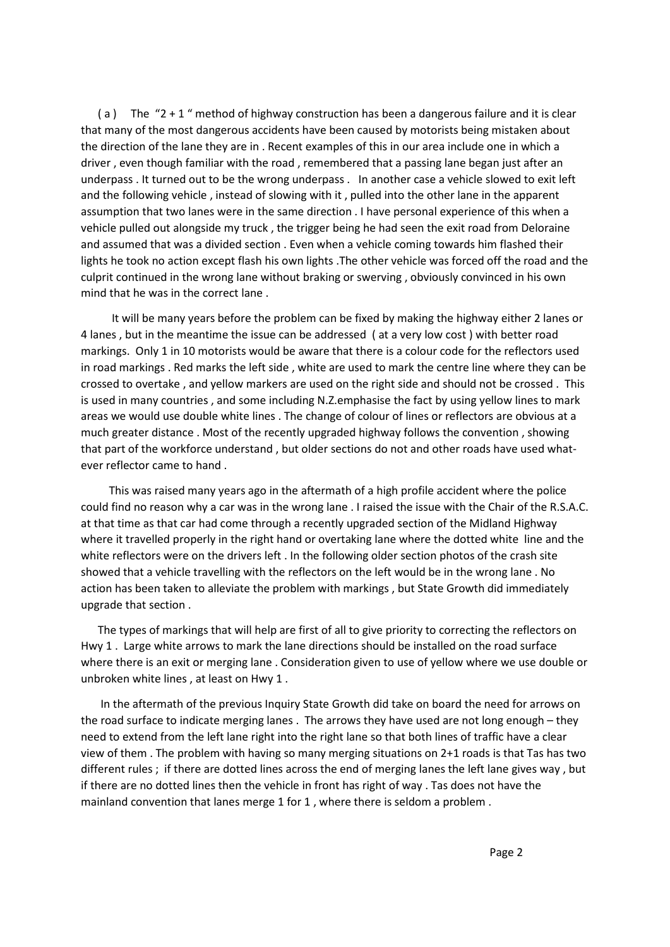that many of the most dangerous accidents have been caused by motorists being mistaken about the direction of the lane they are in . Recent examples of this in our area include one in which a underpass . It turned out to be the wrong underpass . In another case a vehicle slowed to exit left assumption that two lanes were in the same direction . I have personal experience of this when a vehicle pulled out alongside my truck , the trigger being he had seen the exit road from Deloraine and assumed that was a divided section . Even when a vehicle coming towards him flashed their culprit continued in the wrong lane without braking or swerving , obviously convinced in his own (a) The  $"2 + 1"$  method of highway construction has been a dangerous failure and it is clear driver , even though familiar with the road , remembered that a passing lane began just after an and the following vehicle , instead of slowing with it , pulled into the other lane in the apparent lights he took no action except flash his own lights .The other vehicle was forced off the road and the mind that he was in the correct lane .

 markings. Only 1 in 10 motorists would be aware that there is a colour code for the reflectors used in road markings . Red marks the left side , white are used to mark the centre line where they can be crossed to overtake , and yellow markers are used on the right side and should not be crossed . This is used in many countries , and some including N.Z.emphasise the fact by using yellow lines to mark much greater distance . Most of the recently upgraded highway follows the convention , showing that part of the workforce understand , but older sections do not and other roads have used what-It will be many years before the problem can be fixed by making the highway either 2 lanes or 4 lanes , but in the meantime the issue can be addressed ( at a very low cost ) with better road areas we would use double white lines . The change of colour of lines or reflectors are obvious at a ever reflector came to hand .

could find no reason why a car was in the wrong lane. I raised the issue with the Chair of the R.S.A.C. could find no reason why a car was in the wrong lane . I raised the issue with the Chair of the R.S.A.C.<br>at that time as that car had come through a recently upgraded section of the Midland Highway white reflectors were on the drivers left . In the following older section photos of the crash site action has been taken to alleviate the problem with markings , but State Growth did immediately This was raised many years ago in the aftermath of a high profile accident where the police where it travelled properly in the right hand or overtaking lane where the dotted white line and the showed that a vehicle travelling with the reflectors on the left would be in the wrong lane . No upgrade that section .

 Hwy 1 . Large white arrows to mark the lane directions should be installed on the road surface where there is an exit or merging lane . Consideration given to use of yellow where we use double or The types of markings that will help are first of all to give priority to correcting the reflectors on unbroken white lines , at least on Hwy 1 .

 view of them . The problem with having so many merging situations on 2+1 roads is that Tas has two different rules ; if there are dotted lines across the end of merging lanes the left lane gives way , but mainland convention that lanes merge 1 for 1 , where there is seldom a problem . In the aftermath of the previous Inquiry State Growth did take on board the need for arrows on the road surface to indicate merging lanes . The arrows they have used are not long enough – they need to extend from the left lane right into the right lane so that both lines of traffic have a clear if there are no dotted lines then the vehicle in front has right of way . Tas does not have the